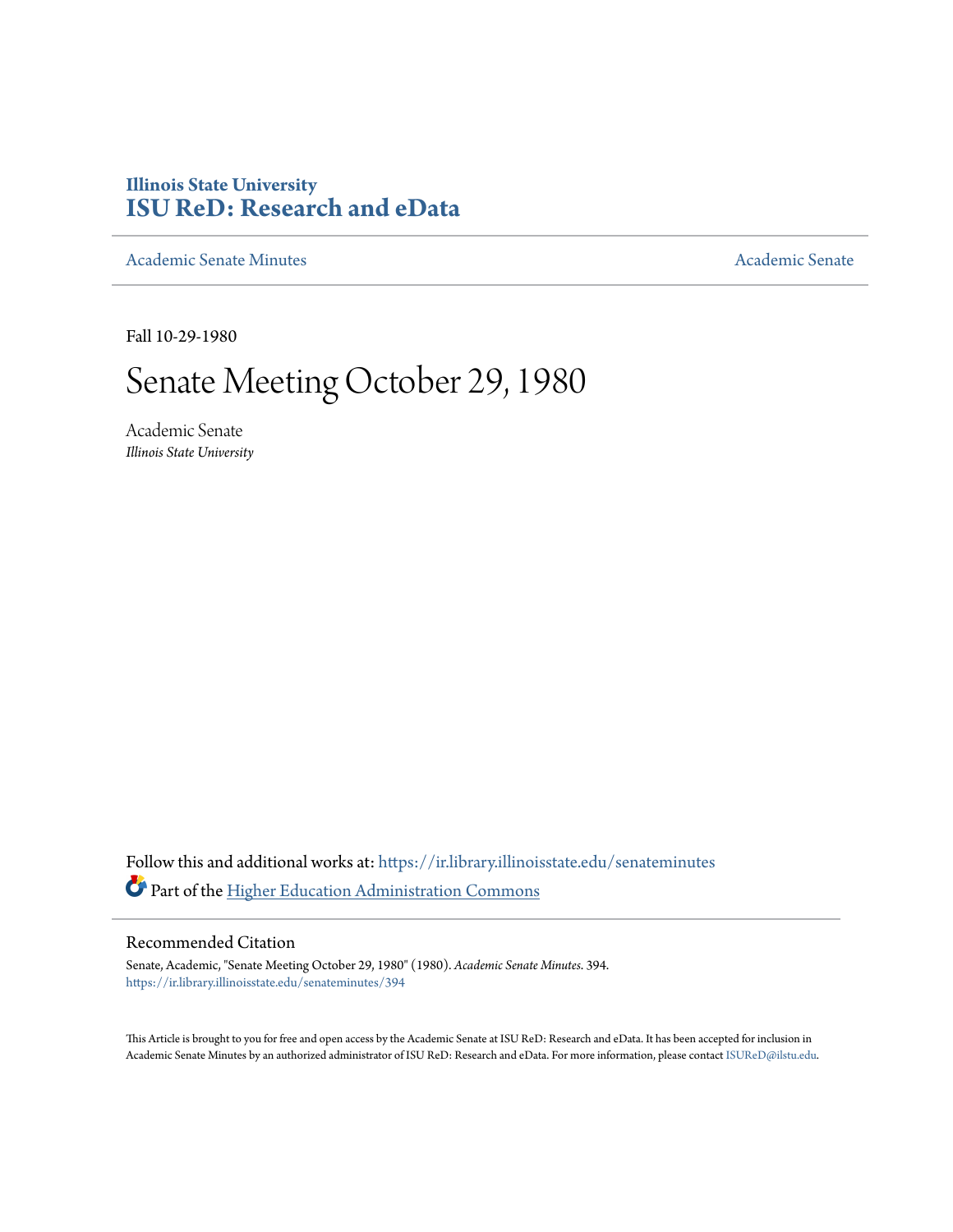## **Illinois State University [ISU ReD: Research and eData](https://ir.library.illinoisstate.edu?utm_source=ir.library.illinoisstate.edu%2Fsenateminutes%2F394&utm_medium=PDF&utm_campaign=PDFCoverPages)**

[Academic Senate Minutes](https://ir.library.illinoisstate.edu/senateminutes?utm_source=ir.library.illinoisstate.edu%2Fsenateminutes%2F394&utm_medium=PDF&utm_campaign=PDFCoverPages) [Academic Senate](https://ir.library.illinoisstate.edu/senate?utm_source=ir.library.illinoisstate.edu%2Fsenateminutes%2F394&utm_medium=PDF&utm_campaign=PDFCoverPages) Academic Senate

Fall 10-29-1980

# Senate Meeting October 29, 1980

Academic Senate *Illinois State University*

Follow this and additional works at: [https://ir.library.illinoisstate.edu/senateminutes](https://ir.library.illinoisstate.edu/senateminutes?utm_source=ir.library.illinoisstate.edu%2Fsenateminutes%2F394&utm_medium=PDF&utm_campaign=PDFCoverPages) Part of the [Higher Education Administration Commons](http://network.bepress.com/hgg/discipline/791?utm_source=ir.library.illinoisstate.edu%2Fsenateminutes%2F394&utm_medium=PDF&utm_campaign=PDFCoverPages)

## Recommended Citation

Senate, Academic, "Senate Meeting October 29, 1980" (1980). *Academic Senate Minutes*. 394. [https://ir.library.illinoisstate.edu/senateminutes/394](https://ir.library.illinoisstate.edu/senateminutes/394?utm_source=ir.library.illinoisstate.edu%2Fsenateminutes%2F394&utm_medium=PDF&utm_campaign=PDFCoverPages)

This Article is brought to you for free and open access by the Academic Senate at ISU ReD: Research and eData. It has been accepted for inclusion in Academic Senate Minutes by an authorized administrator of ISU ReD: Research and eData. For more information, please contact [ISUReD@ilstu.edu.](mailto:ISUReD@ilstu.edu)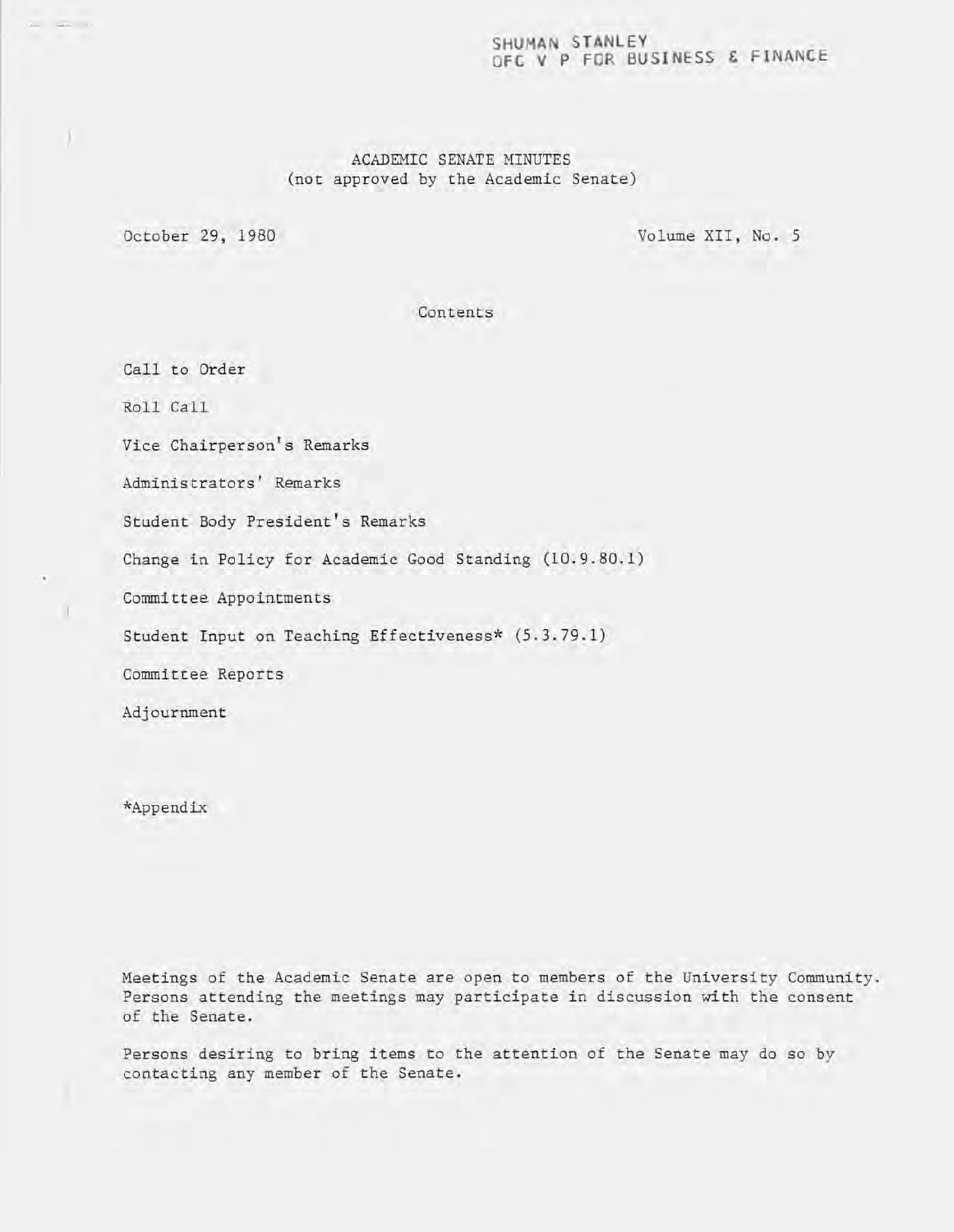## **SHUMAN STANLEY OFC V P FOR BUSINESS & FINANCE**

## ACADEMIC SENATE MINUTES (not approved by the Academic Senate)

October 29, 1980 Volume XII, No. 5

Contents

Call to Order

Roll Call

- **--""'- .....** 

Vice Chairperson's Remarks

Administrators' Remarks

Student Body President's Remarks

Change in Policy for Academic Good Standing (10.9.80.1)

Committee Appointments

Student Input on Teaching Effectiveness\* (5.3.79.1)

Committee Reports

Adjournment

\*Appendix

Meetings of the Academic Senate are open to members of the University Community. Persons attending the meetings may participate in discussion with the consent of the Senate.

Persons desiring to bring items to the attention of the Senate may do so by contacting any member of the Senate.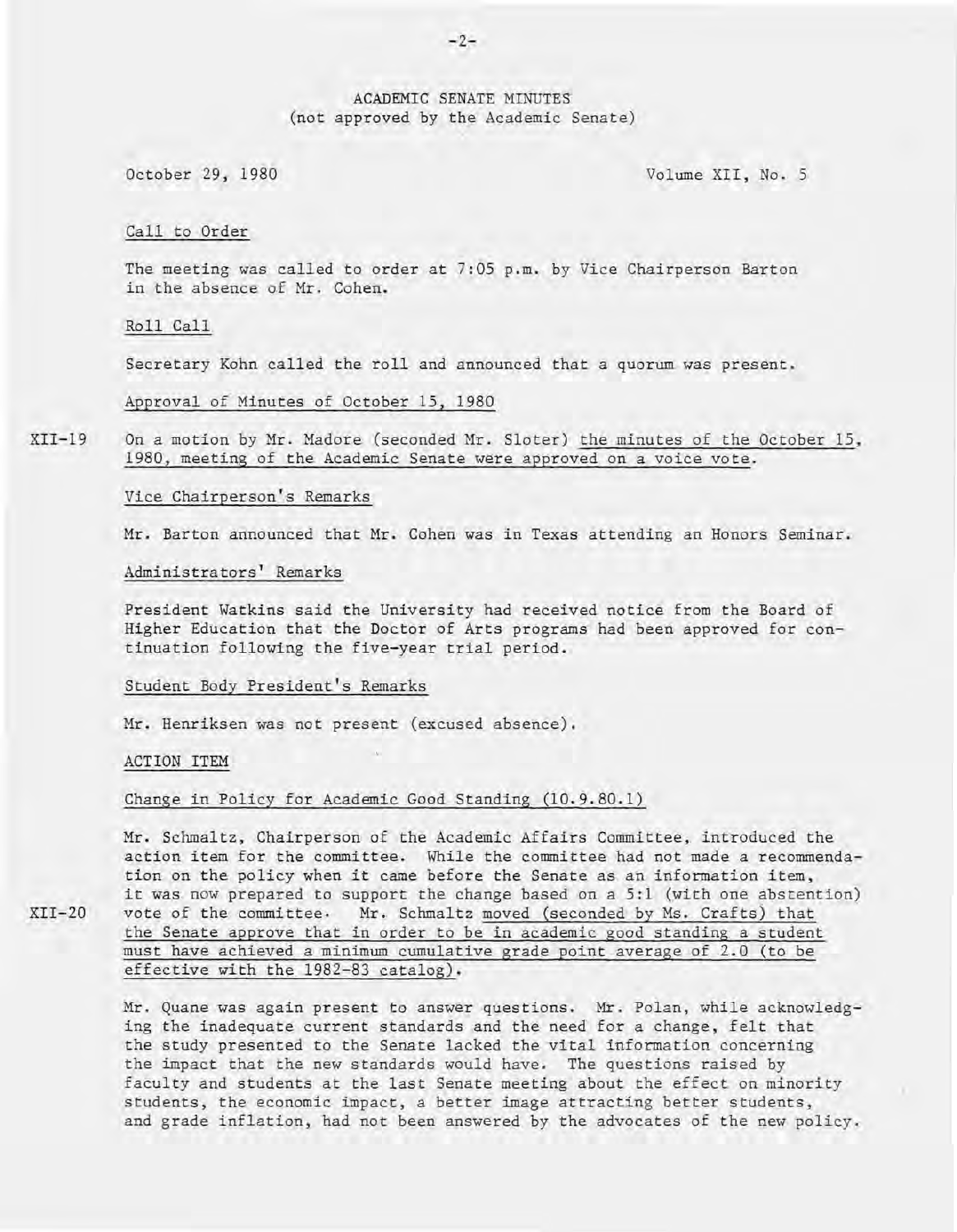## ACADEMIC SENATE MINUTES (not approved by the Academic Senate)

October 29, 1980 Volume XII, No. 5

## Call to Order

The meeting was called to order at 7:05 p.m. by Vice Chairperson Barton in the absence of Mr. Cohen.

Roll Call

Secretary Kohn called the roll and announced that a quorum was present.

Approval of Minutes of October 15, 1980

XII-19 On a motion by Mr. Madore (seconded Mr. Sloter) the minutes of the October 15, 1980, meeting of the Academic Senate were approved on a voice vote.

Vice Chairperson's Remarks

Mr. Barton announced that Mr. Cohen was in Texas attending an Honors Seminar.

Administrators' Remarks

President Watkins said the University had received notice from the Board of Higher Education that the Doctor of Arts programs had been approved for continuation following the five-year trial period.

#### Student Body President's Remarks

Mr. Henriksen was not present (excused absence).

ACTION ITEM

 $XTI-20$ 

Change in Policy for Academic Good Standing (10.9.80.1)

Mr. Schmaltz, Chairperson of the Academic Affairs Committee, introduced the action item for the committee: While the committee had not made a recommendation on the policy when it came before the Senate as an information item, it was now prepared to support the change based on a 5:1 (with one abstention) vote of the committee. Mr. Schmaltz moved (seconded by Ms. Crafts) that the Senate approve that in order to be in academic good standing a student must have achieved a minimum cumulative grade point average of 2.0 (to be effective with the 1982-83 catalog).

Mr. Quane was again present to answer questions. Mr. Polan, while acknowledging the inadequate current standards and the need for a change, felt that the study presented to the Senate lacked the vital information concerning the impact that the new standards would have. The questions raised by faculty and students at the last Senate meeting about the effect on minority students, the economic impact, a better image attracting better students, and grade inflation, had not been answered by the advocates of the new policy.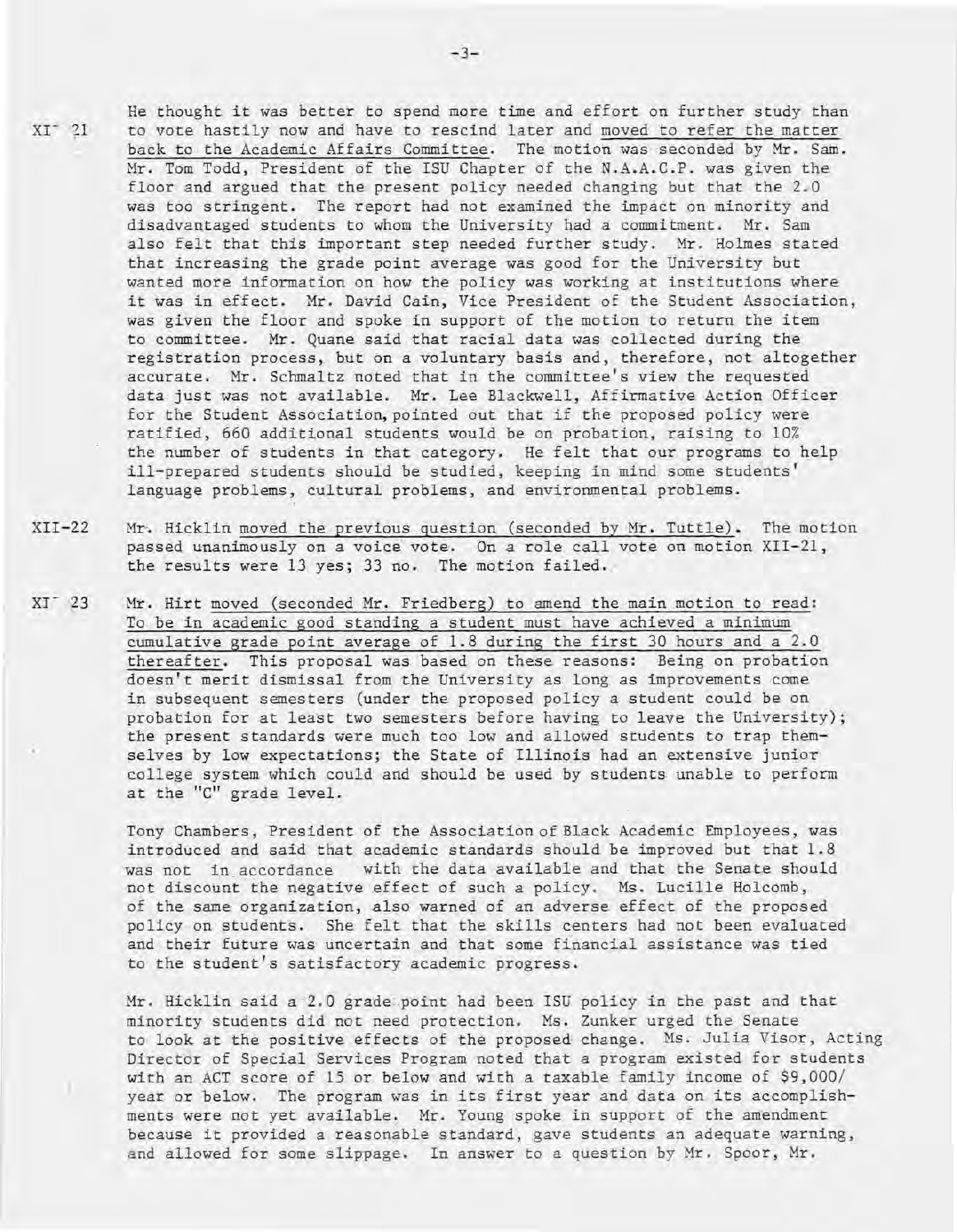$XT^-$  21

He thought it was better to spend more time and effort on further study than to vote hastily now and have to rescind later and moved to refer the matter back to the Academic Affairs Committee. The motion was seconded by Mr. Sam. Mr. Tom Todd, President of the ISU Chapter of the N.A.A.C.P. was given the floor qnd argued that the present policy needed changing but that the 2.0 was too stringent. The report had not examined the impact on minority and disadvantaged students to whom the University had a commitment. Mr. Sam also felt that this important step needed further study. Mr. Holmes stated that increasing the grade point average was good for the University but wanted more information on how the policy was working at institutions where it was in effect. Mr. David Cain, Vice President of the Student Association, was given the floor and spoke in support of the motion to return the item to committee. Mr. Quane said that racial data was collected during the registration process, but on a voluntary basis and, therefore, not altogether accurate. Mr. Schmaltz noted that in the committee's view the requested data just was not available. Mr. Lee Blackwell, Affirmative Action Officer for the Student Association, pointed out that if the proposed policy were ratified, 660 additional students would be on probation, raising to 10% the number of students in that category. He felt that our programs to help ill-prepared students should be studied, keeping in mind some students' language problems, cultural problems, and environmental problems.

- XII-22 Mr. Hicklin moved the previous question (seconded by Mr. Tuttle). The motion passed unanimously on a voice vote. On a role call vote on motion XII-21, the results were 13 yes; 33 no. The motion failed.
- xr 23 Mr. Hirt moved (seconded Mr. Friedberg) to amend the main motion to read: To be in academic good standing a student must have achieved a minimum cumulative grade point average of 1.8 during the first 30 hours and a 2.0 thereafter. This proposal was based on these reasons: Being on probation doesn't merit dismissal from the University as long as improvements come in subsequent semesters (under the proposed policy a student could be on probation for at least two semesters before having to leave the University); the present standards were much too low and allowed students to trap themselves by low expectations; the State of Illinois had an extensive junior college system which could and should be used by students unable to perform at the "c" grade level.

Tony Chambers, President of the Association of Black Academic Employees, was introduced and said that academic standards should be improved but that 1.8 was not in accordance with the data available and that the Senate should not discount the negative effect of such a policy. Ms . Lucille Holcomb, of the same organization, also warned of an adverse effect of the proposed policy on students. She felt that the skills centers had not been evaluated and their future was uncertain and that some financial assistance was tied to the student's satisfactory academic progress.

Mr. Hicklin said a 2.0 grade point had been ISU policy in the past and that minority students did not need protection. Ms. Zunker urged the Senate to look at the positive effects of the proposed change. Ms. Julia Visor, Acting Director of Special Services Program noted that a program existed for students with an ACT score of 15 or below and with a taxable family income of \$9,000/ year or below. The program was in its first year and data on its accomplishments were not yet available. Mr. Young spoke in support of the amendment because it provided a reasonable standard, gave students an adequate warning, and allowed for some slippage. In answer to a question by Mr. Spoor, Mr.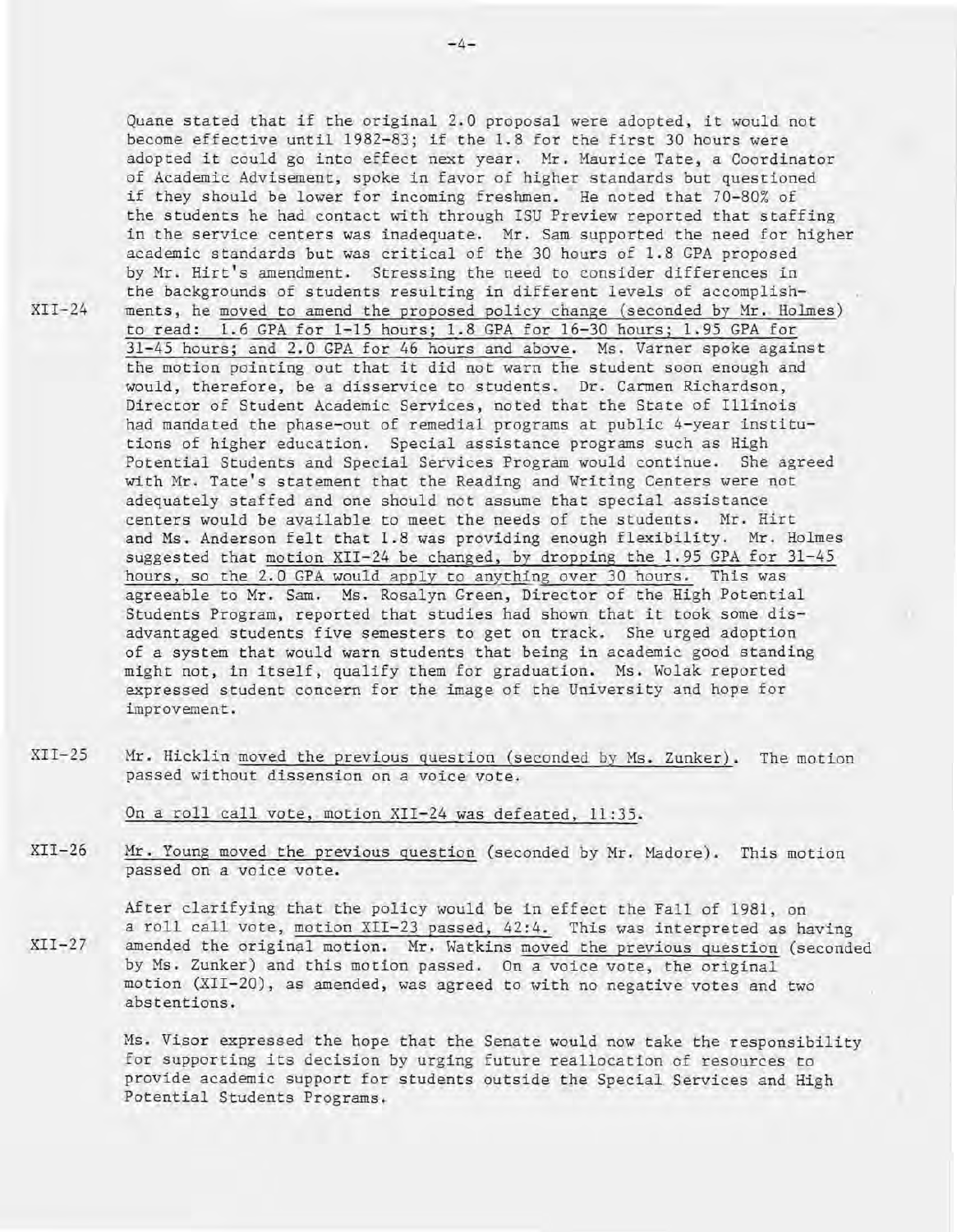Quane stated that if the original 2.0 proposal were adopted, it would not become effective until 1982-83; if the 1.8 for the first 30 hours were adopted it could go into effect next year. Mr. Maurice Tate, a Coordinator of Academic Advisement, spoke in favor of higher standards but questioned if they should be lower for incoming freshmen. He noted that 70-80% of the students he had contact with through ISU Preview reported that staffing in the service centers was inadequate. Mr. Sam supported the need for higher academic standards but was critical of the 30 hours of 1.8 GPA proposed by Mr. Hirt's amendment. Stressing the need to consider differences in the backgrounds of students resulting in different levels of accomplishments, he moved to amend the proposed policy change (seconded by Mr. Holmes) to read: 1.6 GPA for 1-15 hours; 1.8 GPA for 16-30 hours; 1.95 GPA for 31-45 hours; and 2.0 GPA for 46 hours and above. Ms. Varner spoke against the motion pointing out that it did not warn the student soon enough and would, therefore, be a disservice to students. Dr. Carmen Richardson, Director of Student Academic Services, noted that the State of Illinois had mandated the phase-out of remedial programs at public 4-year institutions of higher education. Special assistance programs such as High Potential Students and Special Services Program would continue. She agreed with Mr. Tate's statement that the Reading and Writing Centers were not adequately staffed and one should not assume that special assistance centers would be available to meet the needs of the students. Mr. Hirt and Ms. Anderson felt that 1.8 was providing enough flexibility. Mr. Holmes suggested that motion XII-24 be changed, by dropping the 1.95 GPA for 31-45 hours, so the 2.0 GPA would apply to anything over 30 hours. This was agreeable to Mr. Sam. Ms. Rosalyn Green, Director of the High Potential Students Program, reported that studies had shown that it took some disadvantaged students five semesters to get on track. She urged adoption of a system that would warn students that being in academic good standing might not, in itself, qualify them for graduation. Ms. Wolak reported expressed student concern for the image of the University and hope for improvement.

 $XII-25$ Mr. Hicklin moved the previous question (seconded by Ms. Zunker). The motion passed without dissension on a voice vote.

On a roll call vote, motion XII-24 was defeated, 11:35.

XII-24

XII-26 Mr. Young moved the previous question (seconded by Mr. Madore). This motion passed on a voice vote.

 $XII-27$ After clarifying that the policy would be in effect the Fall of 1981, on a roll call vote, motion XII-23 passed, 42:4. This was interpreted as having amended the original motion. Mr. Watkins moved the previous question (seconded by Ms. Zunker) and this motion passed. On a voice vote, the original motion, (XII-20), as amended, was agreed to with no negative votes and two abstentions.

> Ms. Visor expressed the hope that the Senate would now take the responsibility for supporting its decision by urging future reallocation of resources to provide academic support for students outside the Special Services and High Potential Students Programs.

**-4-**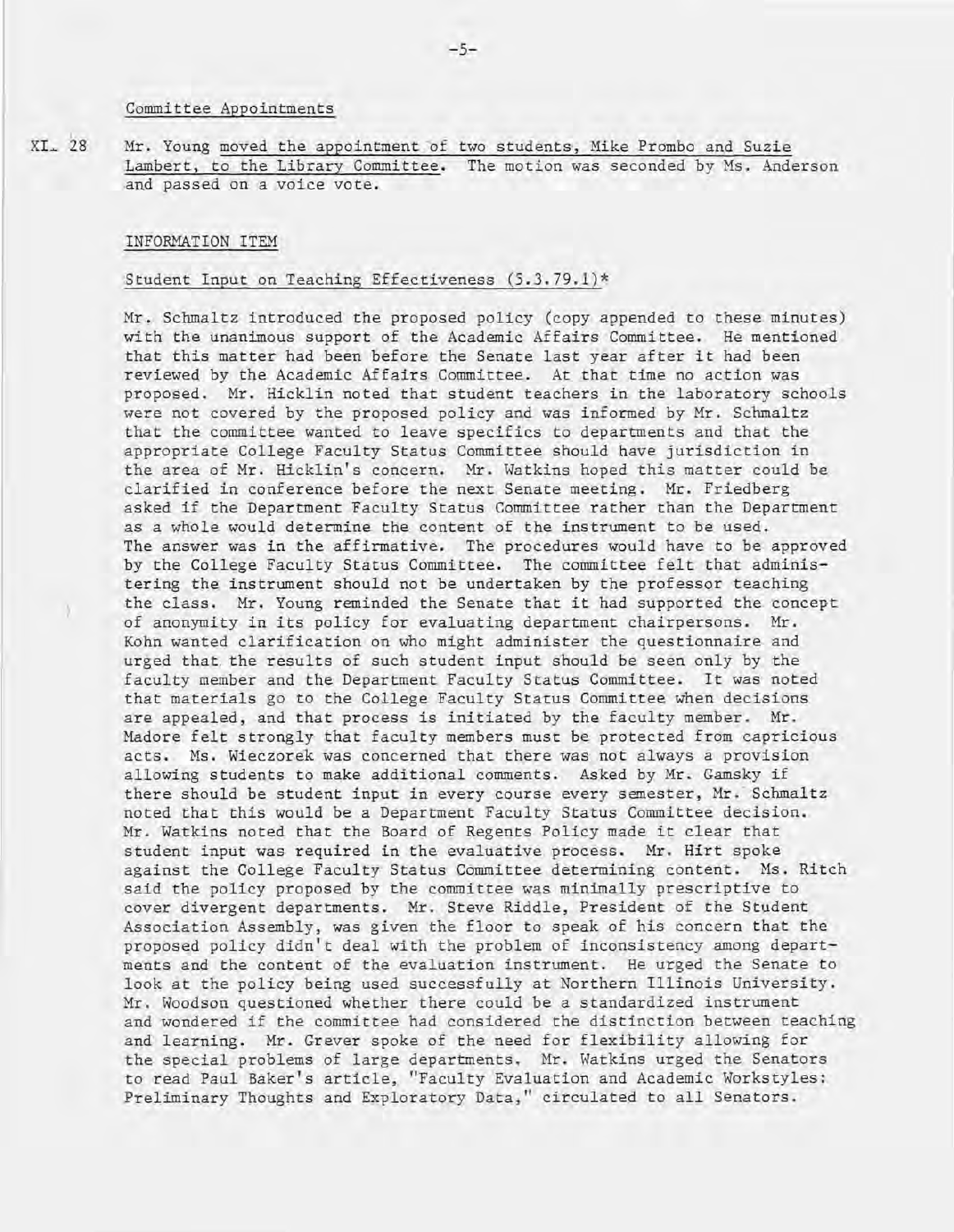#### Committee Appointments

 $XL<sub>+</sub> 28$ Mr. Young moved the appointment of two students, Mike Prombo and Suzie Lambert, to the Library Committee. The motion was seconded by Ms. Anderson and passed on a voice vote.

#### INFORMATION ITEM

## Student Input on Teaching Effectiveness (5.3.79.1)\*

Mr. Schmaltz introduced the proposed policy (copy appended to these minutes) with the unanimous support of the Academic Affairs Committee. He mentioned that this matter had been before the Senate last year after it had been reviewed by the Academic Affairs Committee. At that time no action was proposed. Mr. Hicklin noted that student teachers in the laboratory schools were not covered by the proposed policy and was informed by Mr. Schmaltz that the committee wanted to leave specifics to departments and that the appropriate College Faculty Status Committee should have jurisdiction in the area of Mr. Hicklin's concern. Mr. Watkins hoped this matter could be clarified in conference before the next Senate meeting. Mr. Friedberg asked if the Department Faculty Status Committee rather than the Department as a whole would determine the content of the instrument to be used. The answer was in the affirmative. The procedures would have to be approved by the College Faculty Status Committee. The committee felt that administering the instrument should not be undertaken by the professor teaching the class. Mr. Young reminded the Senate that it had supported the concept, of anonymity in its policy for evaluating department chairpersons. Mr. Kohn wanted clarification on who might administer the questionnaire and urged that. the results of such student input should be seen only by the faculty member and the Department Faculty Status Committee. It was noted that materials go to the College Faculty Status Committee when decisions are appealed, and that process is initiated by the faculty member. Mr. Madore felt strongly that faculty members must be protected from capricious acts. Ms. Wieczorek was concerned that there was not always a provision allowing students to make additional comments. Asked by Mr . Gamsky if there should be student input in every course every semester, Mr. Schmaltz noted that this would be a Department Faculty Status Committee decision. Mr. Watkins noted that the Board of Regents Policy made it clear that student input was required in the evaluative process. Mr. Hirt spoke against the College Faculty Status Committee determining content. Ms. Ritch said the policy proposed by the committee was minimally prescriptive to cover divergent departments. Mr. Steve Riddle, President of the Student Association Assembly, was given the floor to speak of his concern that the proposed policy didn't deal with the problem of inconsistency among departments and the content of the evaluation instrument. He urged the Senate to look at the policy being used successfully at Northern Illinois University. Mr. Woodson questioned whether there could be a standardized instrument and wondered if the committee had considered the distinction between teaching and learning. Mr. Grever spoke of the need for flexibility allowing for the special problems of large departments. Mr. Watkins urged the Senators to read Paul Baker's article, "Faculty Evaluation and Academic Workstyles: Preliminary Thoughts and Exploratory Data," circulated to all Senators.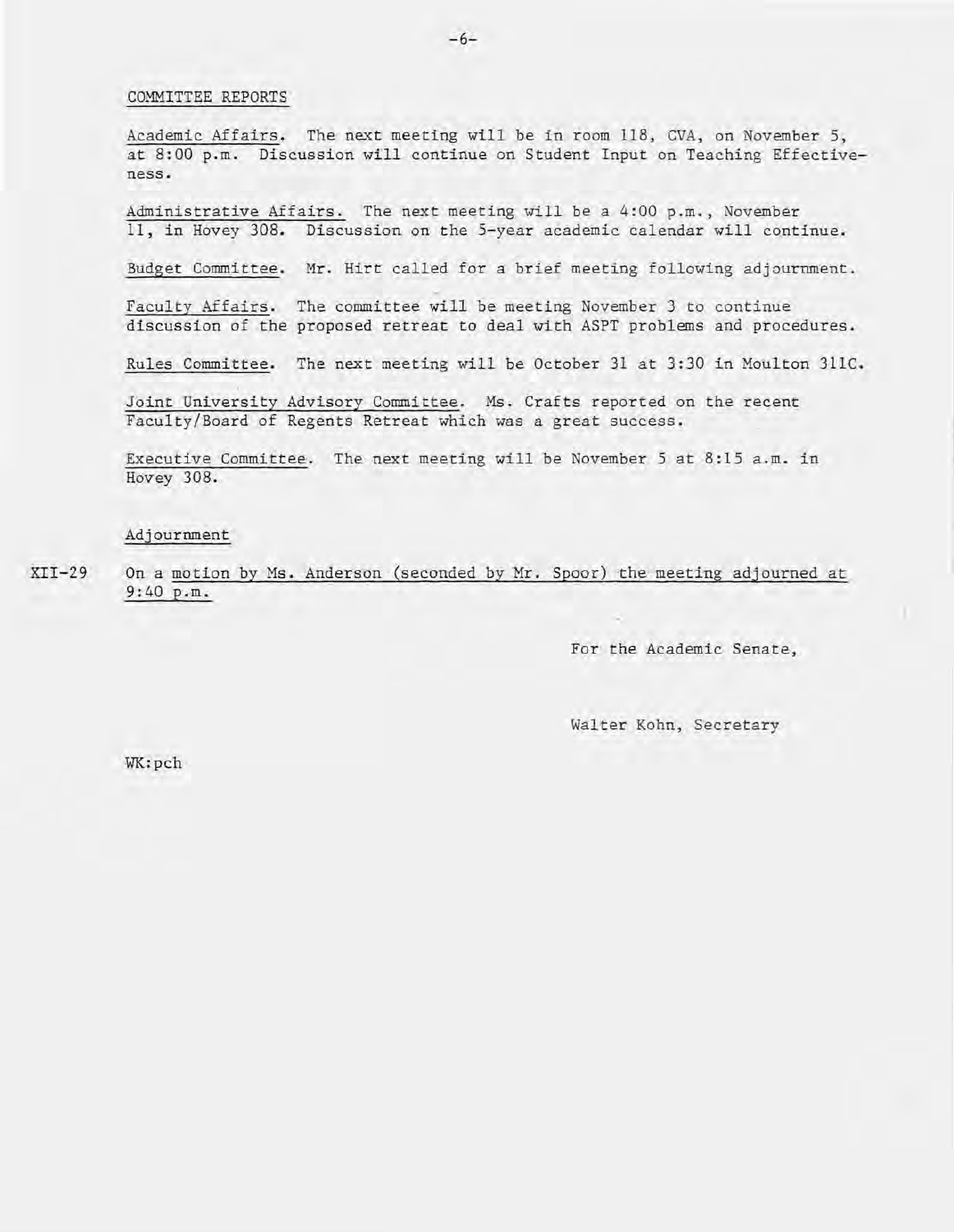#### COMMITTEE REPORTS

Academic Affairs. The next meeting will be in room 118, CVA, on November 5, at 8:00 p.m. Discussion will continue on Student Input on Teaching Effectiveness.

Administrative Affairs. The next meeting will be a 4:00 p.m., November 11, in Hovey 308. Discussion on the 5-year academic calendar will continue.

Budget Committee. Mr. Hirt called for a brief meeting following adjournment.

Faculty Affairs. The committee will be meeting November 3 to continue discussion of the proposed retreat to deal with ASPT problems and procedures.

Rules Committee. The next meeting will be October 31 at 3:30 in Moulton 311C.

Joint University Advisory Committee. Ms. Crafts reported on the recent Faculty/Board of Regents Retreat which was a great success.

Executive Committee. The next meeting will be November 5 at 8:15 a.m. in Hovey 308.

## Adjournment

 $XTI-29$ On a motion by Ms. Anderson (seconded by Mr. Spoor) the meeting adjourned at 9:40 p.m.

For the Academic Senate,

Walter Kohn, Secretary

WK:pch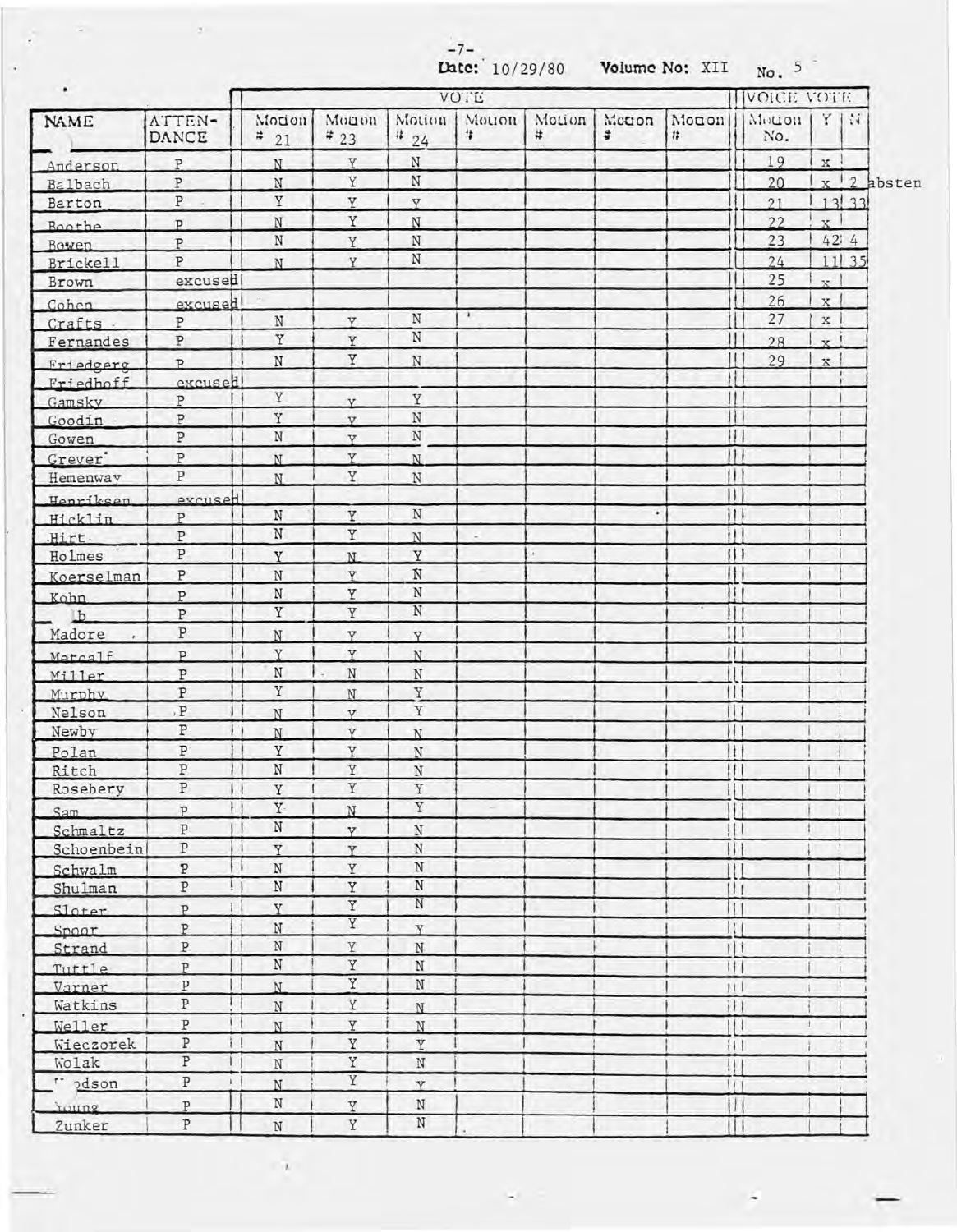- 7-

 $\mathcal{A}(\mathcal{A})$  , and  $\mathcal{A}(\mathcal{A})$  , and

 $\mathbf{r}$ 

÷

|                 |                         | Late: 10/29/80<br>Volume No: XII |                         |                |             |             |              |                        | No. 5                  |                |                      |              |
|-----------------|-------------------------|----------------------------------|-------------------------|----------------|-------------|-------------|--------------|------------------------|------------------------|----------------|----------------------|--------------|
| ٠               |                         | <b>VOTE</b>                      |                         |                |             |             |              |                        | VOICE VOTE             |                |                      |              |
| NAME            | ATTEN-<br>DANCE         | Motion<br>#21                    | Monon<br>$*_{23}$       | Motion<br>424  | Motion<br># | Motion<br># | Motion<br>\$ | Monon<br>#             | Motion<br>No.          |                | $Y \mid \mathcal{U}$ |              |
| Anderson        | P                       | N                                | Y                       | $\mathbf N$    |             |             |              |                        | 19                     | $\mathbf x$    |                      |              |
| Balbach         | $\, {\bf P}$            | $_{\rm N}$                       | Y                       | $\mathbf N$    |             |             |              |                        | 20                     |                |                      | $x$ 2 absten |
| Barton          | P                       | $\rm \overline{Y}$               | Y                       | Y              |             |             |              |                        | 21                     |                | 13 33                |              |
| <b>Boothe</b>   | $\mathbf{p}$            | $\, {\rm N}$                     | $\mathbf Y$             | $\rm N$        |             |             |              |                        | 22                     | $\mathbf{x}$   |                      |              |
| Bowen           | P                       | $\, {\rm N}$                     | Y                       | N              |             |             |              |                        | 23                     |                | 42:4                 |              |
| <b>Brickell</b> | P                       | N                                | Y                       | $_{\rm N}$     |             |             |              |                        | 24                     |                | 11135                |              |
| Brown           | excused                 |                                  |                         |                |             |             |              |                        | 25                     | x <sup>1</sup> |                      |              |
| Cohen           | excused                 |                                  |                         |                |             |             |              |                        | 26                     | x <sub>1</sub> |                      |              |
| Crafts          | P                       | $\mathbf N$                      | V                       | $\rm N$        | 1.          |             |              |                        | 27                     | $\mathbf x$    |                      |              |
| Fernandes       | $\mathbf{P}$            | $\rm Y$                          | Y                       | $\rm N$        |             |             |              |                        | 28                     | x <sup>1</sup> |                      |              |
| Friedgerg       | $\mathsf{p}$            | $\, {\rm N}$                     | Y                       | $\, {\rm N}$   |             |             |              |                        | 29                     | $\mathbf{x}$   |                      |              |
| Friedhoff       | excused                 |                                  |                         |                |             |             |              |                        |                        |                |                      |              |
| Gamsky          | ${\tt P}$               | Y                                | V.                      | Y              |             |             |              | H.                     |                        |                |                      |              |
| Goodin          | ${\tt P}$               | Y                                | V                       | $\rm N$        |             |             |              | н                      |                        |                |                      |              |
| Gowen           | $\, {\bf p}$            | $\, {\rm N}$                     | Y                       | $\rm N$        |             |             |              | н                      |                        |                |                      |              |
| Grever'         | $\, {\bf P}$            | N                                | Y.                      | N              |             |             |              | $\mathbf{1}$           |                        |                |                      |              |
| Hemenway        | $\overline{\text{P}}$   | N                                | Y                       | $\,$ N         |             |             |              | $\vert \vert$          |                        |                |                      |              |
| Henriksen,      | excused                 |                                  |                         |                |             |             |              | $\vert \vert$          |                        |                |                      |              |
| Hicklin         | $\mathbf{p}$            | $_{\rm N}$                       | Y                       | $\rm N$        |             |             | ٠            | $\vert$ $\vert$        |                        |                |                      |              |
| Hirt.           | ${\tt P}$               | $\rm N$                          | $\rm Y$                 | N              |             |             |              | iI.                    |                        |                |                      |              |
| Holmes          | $\, {\bf P}$            | Y                                | N.                      | Y              |             |             |              |                        |                        |                |                      |              |
| Koerselman      | ${\tt P}$               | $\mathbf N$                      | Y                       | $\rm N$        |             |             |              | Ħ                      |                        |                |                      |              |
| Kohn            | P                       | $_\mathrm{N}$                    | Y                       | $\rm N$        |             |             |              | $\mathbf{H}$           |                        |                |                      |              |
| b               | $\mathbf{P}$            | $\rm Y$                          | Y                       | $\rm N$        |             |             |              | Ш                      |                        |                |                      |              |
| Madore          | $\, {\bf P}$            | N                                | Y.                      | Y              |             |             |              | Ш                      |                        |                |                      |              |
| Metcalf         | P                       | $\mathbf Y$                      | Y                       | N              |             |             |              |                        |                        |                |                      |              |
| Miller          | $\mathbf{P}$            | $\mathbf N$                      | $_{\rm N}$              | $_{\rm N}$     |             |             |              | П                      |                        |                |                      |              |
| Murphy          | $\, {\bf P}$            | $\Upsilon$                       | N                       | Y              |             |             |              | $\mathbf{1}$           |                        |                |                      |              |
| Nelson          | , ${\tt P}$             | N                                | v                       | $\mathbf Y$    |             |             |              | Ħ                      |                        |                |                      |              |
| Newby           | P                       | N                                | Y.                      | N              |             |             |              | $\mathbf{H}$           |                        |                |                      |              |
| Polan           | $\, {\bf p}$            | Y                                | Y.                      | $_{\rm N}$     |             |             |              | 1                      |                        |                |                      |              |
| Ritch           | ${\tt P}$               | $\, {\rm N}$                     | Y                       | N              |             |             |              |                        | ! I I                  |                |                      |              |
| Rosebery        | $\, {\bf p}$            | Y                                | Y                       | Y              |             |             |              |                        | $\vdash$               |                |                      |              |
| Sam             | $\overline{P}$          | $\mathbf{Y} \cdot$               | N                       | Y              |             |             |              |                        |                        |                |                      |              |
| Schmaltz        | $\, {\bf P}$            | $\rm N$                          | Y                       | $\rm N$        |             |             |              |                        | 1                      |                |                      |              |
| Schoenbein      | $\, {\tt P}$            | Y                                | Y                       | $\, {\rm N}$   |             |             |              |                        |                        |                |                      |              |
| Schwalm         | $\, {\bf p}$            | N                                | Y                       | N              |             |             |              |                        |                        |                |                      |              |
| Shulman         | $\, {\bf p}$            | $\mathbf N$                      | Y                       | $\rm N$        |             |             |              | 111                    |                        |                |                      |              |
| Sloter          | P                       | Y                                | $\rm Y$                 | N              |             |             |              | 111                    |                        |                |                      |              |
| Spoor           | P                       | $_{\rm N}$                       | Y                       | Y              |             |             |              |                        | $\left  \cdot \right $ |                |                      |              |
| Strand          | P.                      | $\rm N$                          | Y                       | $\mathbf N$    |             |             |              | 111                    |                        |                |                      |              |
| Tuttle          | P                       | $\mathbf N$                      | $\mathbf Y$             | $\mathbf N$    |             |             |              | 111                    |                        |                |                      |              |
| Varner          | $\, {\bf P}$            | N                                | $\overline{\textbf{Y}}$ | $\mathbf N$    |             |             |              | 111                    |                        |                |                      |              |
| Watkins         | $\, {\bf p}$            | $\mathbf N$                      | Y                       | N              |             |             |              |                        |                        |                |                      |              |
| Weller          | $\, {\bf P}$<br>it      | N.                               | Y                       | $\overline{N}$ |             |             |              |                        | 11                     | $\mathbf{r}$   |                      |              |
| Wieczorek       | $\, {\bf P}$<br>i I     | $\, {\rm N}$                     | Y                       | Y              |             |             |              |                        |                        |                |                      |              |
| Wolak           | $\overline{\mathbb{P}}$ | $\rm N$                          | $\rm \overline{Y}$      | $_{\rm N}$     |             |             |              | $\left  \cdot \right $ |                        |                |                      |              |
| " pdson         | $\, {\mathbb P}$        | N                                | Y                       | $\overline{v}$ |             |             |              | $\mathbf{H}$           |                        |                |                      |              |
| roung           | P                       | N                                | Y                       | $\rm N$        |             |             |              |                        |                        |                |                      |              |
| Zunker          | P                       | $\mathbf N$                      | Y                       | $_{\rm N}$     |             |             |              |                        | Н                      |                |                      |              |

 $\mathcal{A}$